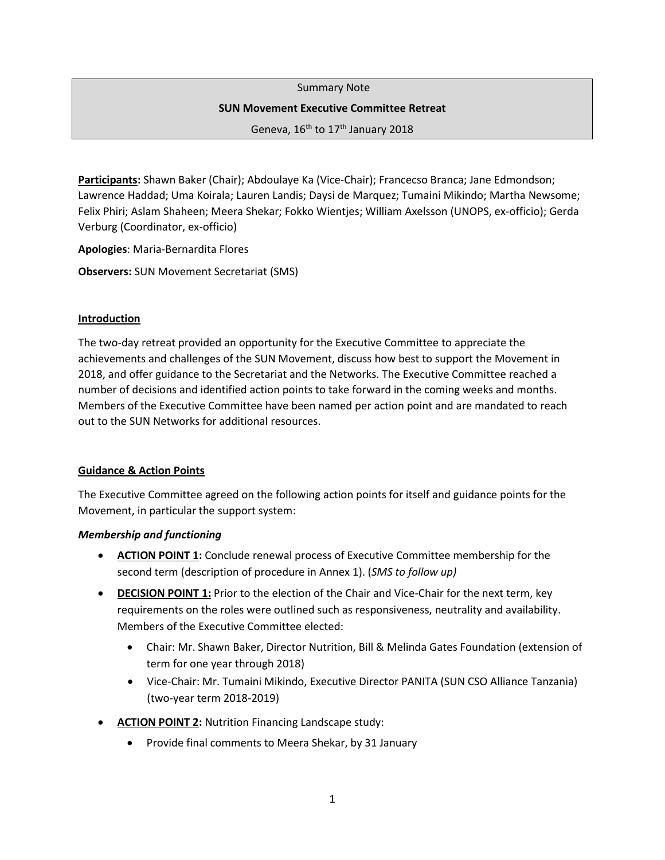Summary Note

#### **SUN Movement Executive Committee Retreat**

Geneva, 16<sup>th</sup> to 17<sup>th</sup> January 2018

**Participants:** Shawn Baker (Chair); Abdoulaye Ka (Vice-Chair); Francecso Branca; Jane Edmondson; Lawrence Haddad; Uma Koirala; Lauren Landis; Daysi de Marquez; Tumaini Mikindo; Martha Newsome; Felix Phiri; Aslam Shaheen; Meera Shekar; Fokko Wientjes; William Axelsson (UNOPS, ex-officio); Gerda Verburg (Coordinator, ex-officio)

**Apologies**: Maria-Bernardita Flores

**Observers:** SUN Movement Secretariat (SMS)

#### **Introduction**

The two-day retreat provided an opportunity for the Executive Committee to appreciate the achievements and challenges of the SUN Movement, discuss how best to support the Movement in 2018, and offer guidance to the Secretariat and the Networks. The Executive Committee reached a number of decisions and identified action points to take forward in the coming weeks and months. Members of the Executive Committee have been named per action point and are mandated to reach out to the SUN Networks for additional resources.

### **Guidance & Action Points**

The Executive Committee agreed on the following action points for itself and guidance points for the Movement, in particular the support system:

### *Membership and functioning*

- **ACTION POINT 1:** Conclude renewal process of Executive Committee membership for the second term (description of procedure in Annex 1). (*SMS to follow up)*
- **DECISION POINT 1:** Prior to the election of the Chair and Vice-Chair for the next term, key requirements on the roles were outlined such as responsiveness, neutrality and availability. Members of the Executive Committee elected:
	- Chair: Mr. Shawn Baker, Director Nutrition, Bill & Melinda Gates Foundation (extension of term for one year through 2018)
	- Vice-Chair: Mr. Tumaini Mikindo, Executive Director PANITA (SUN CSO Alliance Tanzania) (two-year term 2018-2019)
- **ACTION POINT 2:** Nutrition Financing Landscape study:
	- Provide final comments to Meera Shekar, by 31 January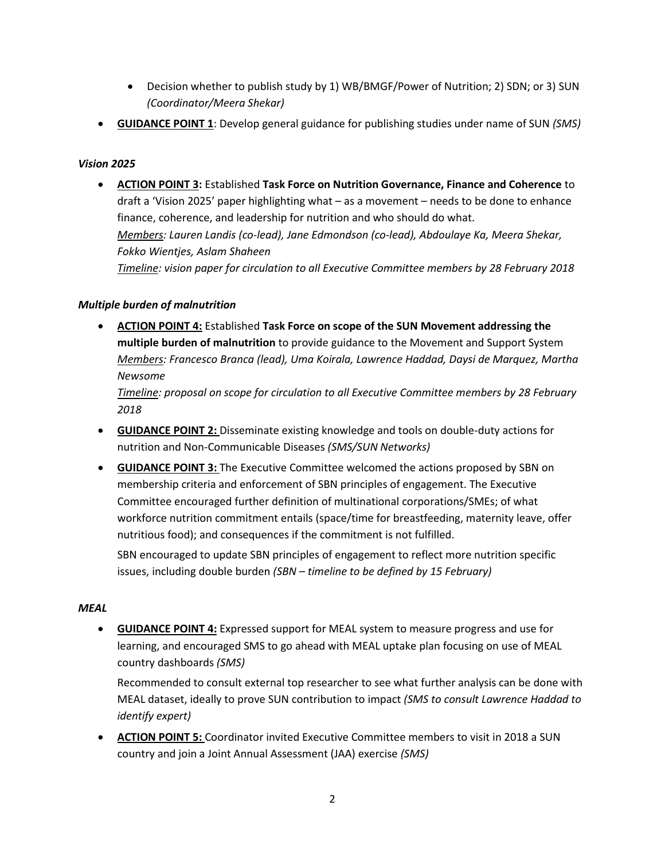- Decision whether to publish study by 1) WB/BMGF/Power of Nutrition; 2) SDN; or 3) SUN *(Coordinator/Meera Shekar)*
- **GUIDANCE POINT 1**: Develop general guidance for publishing studies under name of SUN *(SMS)*

## *Vision 2025*

• **ACTION POINT 3:** Established **Task Force on Nutrition Governance, Finance and Coherence** to draft a 'Vision 2025' paper highlighting what – as a movement – needs to be done to enhance finance, coherence, and leadership for nutrition and who should do what. *Members: Lauren Landis (co-lead), Jane Edmondson (co-lead), Abdoulaye Ka, Meera Shekar, Fokko Wientjes, Aslam Shaheen Timeline: vision paper for circulation to all Executive Committee members by 28 February 2018* 

## *Multiple burden of malnutrition*

• **ACTION POINT 4:** Established **Task Force on scope of the SUN Movement addressing the multiple burden of malnutrition** to provide guidance to the Movement and Support System *Members: Francesco Branca (lead), Uma Koirala, Lawrence Haddad, Daysi de Marquez, Martha Newsome*

*Timeline: proposal on scope for circulation to all Executive Committee members by 28 February 2018* 

- **GUIDANCE POINT 2:** Disseminate existing knowledge and tools on double-duty actions for nutrition and Non-Communicable Diseases *(SMS/SUN Networks)*
- **GUIDANCE POINT 3:** The Executive Committee welcomed the actions proposed by SBN on membership criteria and enforcement of SBN principles of engagement. The Executive Committee encouraged further definition of multinational corporations/SMEs; of what workforce nutrition commitment entails (space/time for breastfeeding, maternity leave, offer nutritious food); and consequences if the commitment is not fulfilled.

SBN encouraged to update SBN principles of engagement to reflect more nutrition specific issues, including double burden *(SBN – timeline to be defined by 15 February)*

## *MEAL*

• **GUIDANCE POINT 4:** Expressed support for MEAL system to measure progress and use for learning, and encouraged SMS to go ahead with MEAL uptake plan focusing on use of MEAL country dashboards *(SMS)*

Recommended to consult external top researcher to see what further analysis can be done with MEAL dataset, ideally to prove SUN contribution to impact *(SMS to consult Lawrence Haddad to identify expert)*

• **ACTION POINT 5:** Coordinator invited Executive Committee members to visit in 2018 a SUN country and join a Joint Annual Assessment (JAA) exercise *(SMS)*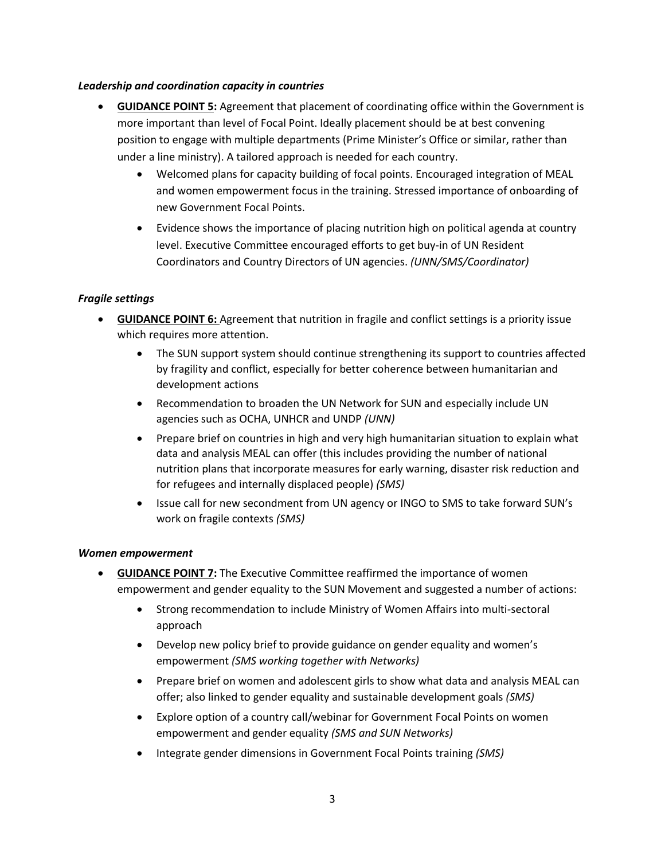### *Leadership and coordination capacity in countries*

- **GUIDANCE POINT 5:** Agreement that placement of coordinating office within the Government is more important than level of Focal Point. Ideally placement should be at best convening position to engage with multiple departments (Prime Minister's Office or similar, rather than under a line ministry). A tailored approach is needed for each country.
	- Welcomed plans for capacity building of focal points. Encouraged integration of MEAL and women empowerment focus in the training. Stressed importance of onboarding of new Government Focal Points.
	- Evidence shows the importance of placing nutrition high on political agenda at country level. Executive Committee encouraged efforts to get buy-in of UN Resident Coordinators and Country Directors of UN agencies. *(UNN/SMS/Coordinator)*

## *Fragile settings*

- **GUIDANCE POINT 6:** Agreement that nutrition in fragile and conflict settings is a priority issue which requires more attention.
	- The SUN support system should continue strengthening its support to countries affected by fragility and conflict, especially for better coherence between humanitarian and development actions
	- Recommendation to broaden the UN Network for SUN and especially include UN agencies such as OCHA, UNHCR and UNDP *(UNN)*
	- Prepare brief on countries in high and very high humanitarian situation to explain what data and analysis MEAL can offer (this includes providing the number of national nutrition plans that incorporate measures for early warning, disaster risk reduction and for refugees and internally displaced people) *(SMS)*
	- Issue call for new secondment from UN agency or INGO to SMS to take forward SUN's work on fragile contexts *(SMS)*

### *Women empowerment*

- **GUIDANCE POINT 7:** The Executive Committee reaffirmed the importance of women empowerment and gender equality to the SUN Movement and suggested a number of actions:
	- Strong recommendation to include Ministry of Women Affairs into multi-sectoral approach
	- Develop new policy brief to provide guidance on gender equality and women's empowerment *(SMS working together with Networks)*
	- Prepare brief on women and adolescent girls to show what data and analysis MEAL can offer; also linked to gender equality and sustainable development goals *(SMS)*
	- Explore option of a country call/webinar for Government Focal Points on women empowerment and gender equality *(SMS and SUN Networks)*
	- Integrate gender dimensions in Government Focal Points training *(SMS)*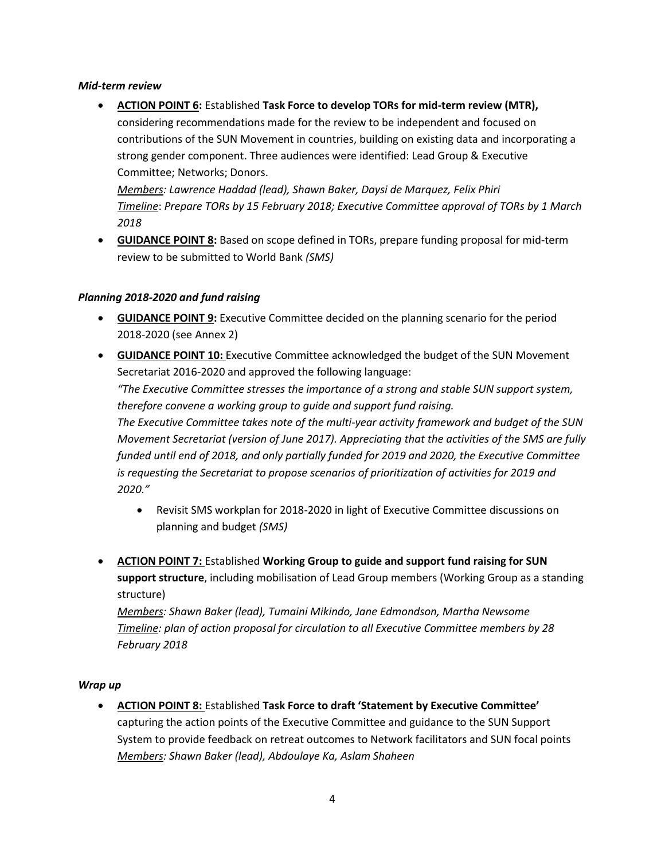### *Mid-term review*

• **ACTION POINT 6:** Established **Task Force to develop TORs for mid-term review (MTR),**  considering recommendations made for the review to be independent and focused on contributions of the SUN Movement in countries, building on existing data and incorporating a strong gender component. Three audiences were identified: Lead Group & Executive Committee; Networks; Donors. *Members: Lawrence Haddad (lead), Shawn Baker, Daysi de Marquez, Felix Phiri*

*Timeline*: *Prepare TORs by 15 February 2018; Executive Committee approval of TORs by 1 March 2018* 

• **GUIDANCE POINT 8:** Based on scope defined in TORs, prepare funding proposal for mid-term review to be submitted to World Bank *(SMS)*

## *Planning 2018-2020 and fund raising*

- **GUIDANCE POINT 9:** Executive Committee decided on the planning scenario for the period 2018-2020 (see Annex 2)
- **GUIDANCE POINT 10:** Executive Committee acknowledged the budget of the SUN Movement Secretariat 2016-2020 and approved the following language:

*"The Executive Committee stresses the importance of a strong and stable SUN support system, therefore convene a working group to guide and support fund raising.*

*The Executive Committee takes note of the multi-year activity framework and budget of the SUN Movement Secretariat (version of June 2017). Appreciating that the activities of the SMS are fully funded until end of 2018, and only partially funded for 2019 and 2020, the Executive Committee is requesting the Secretariat to propose scenarios of prioritization of activities for 2019 and 2020."*

- Revisit SMS workplan for 2018-2020 in light of Executive Committee discussions on planning and budget *(SMS)*
- **ACTION POINT 7:** Established **Working Group to guide and support fund raising for SUN support structure**, including mobilisation of Lead Group members (Working Group as a standing structure)

*Members: Shawn Baker (lead), Tumaini Mikindo, Jane Edmondson, Martha Newsome Timeline: plan of action proposal for circulation to all Executive Committee members by 28 February 2018* 

## *Wrap up*

• **ACTION POINT 8:** Established **Task Force to draft 'Statement by Executive Committee'** capturing the action points of the Executive Committee and guidance to the SUN Support System to provide feedback on retreat outcomes to Network facilitators and SUN focal points *Members: Shawn Baker (lead), Abdoulaye Ka, Aslam Shaheen*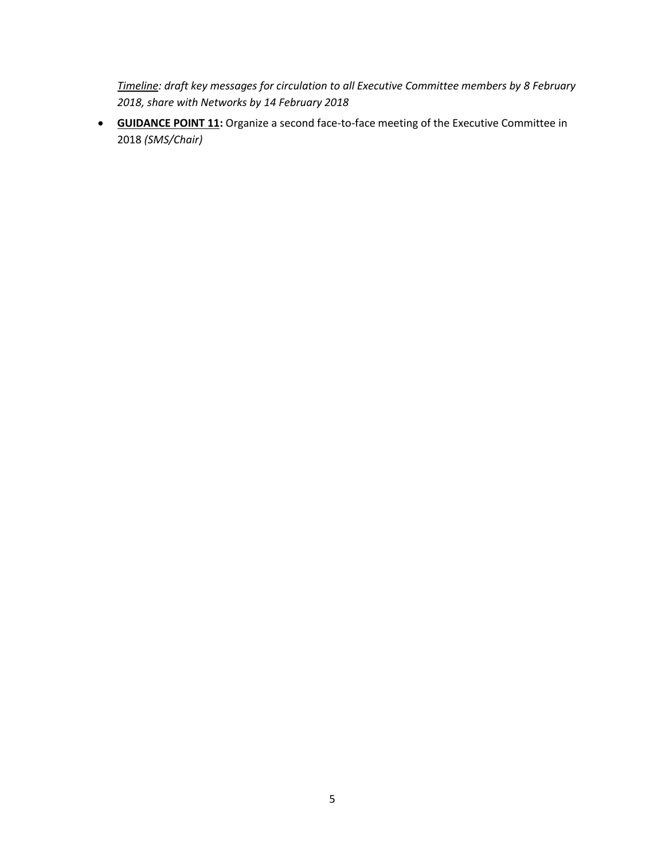*Timeline: draft key messages for circulation to all Executive Committee members by 8 February 2018, share with Networks by 14 February 2018*

• **GUIDANCE POINT 11:** Organize a second face-to-face meeting of the Executive Committee in 2018 *(SMS/Chair)*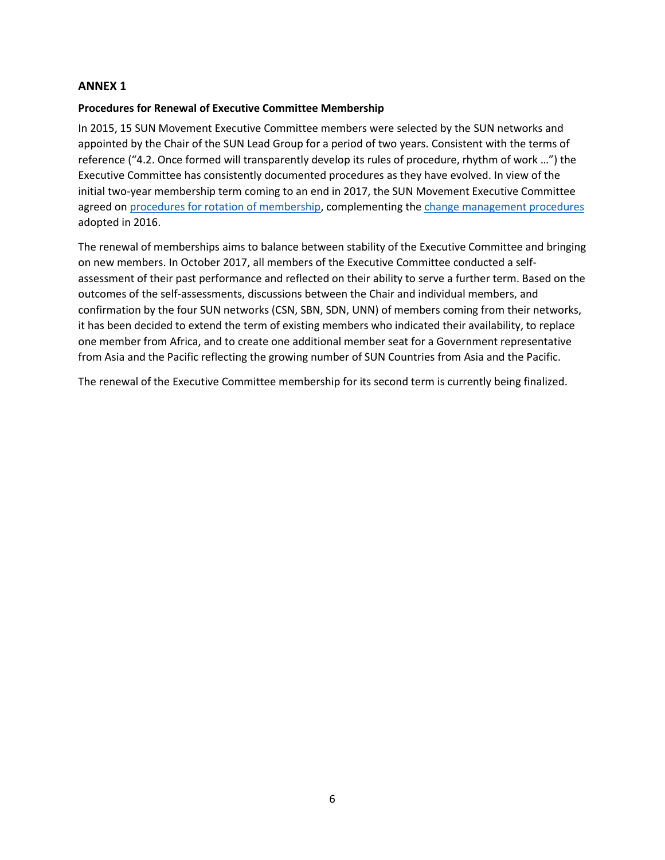### **ANNEX 1**

### **Procedures for Renewal of Executive Committee Membership**

In 2015, 15 SUN Movement Executive Committee members were selected by the SUN networks and appointed by the Chair of the SUN Lead Group for a period of two years. Consistent with the terms of reference ("4.2. Once formed will transparently develop its rules of procedure, rhythm of work …") the Executive Committee has consistently documented procedures as they have evolved. In view of the initial two-year membership term coming to an end in 2017, the SUN Movement Executive Committee agreed o[n procedures for rotation of membership,](http://docs.scalingupnutrition.org/wp-content/uploads/2017/12/SUN-ExCom-SelfAssessment-and-Member-Rotation.pdf) complementing th[e change management procedures](http://docs.scalingupnutrition.org/wp-content/uploads/2016/06/Change-management-procedure-for-the-SUN-Movement-Executive-Committee.pdf) adopted in 2016.

The renewal of memberships aims to balance between stability of the Executive Committee and bringing on new members. In October 2017, all members of the Executive Committee conducted a selfassessment of their past performance and reflected on their ability to serve a further term. Based on the outcomes of the self-assessments, discussions between the Chair and individual members, and confirmation by the four SUN networks (CSN, SBN, SDN, UNN) of members coming from their networks, it has been decided to extend the term of existing members who indicated their availability, to replace one member from Africa, and to create one additional member seat for a Government representative from Asia and the Pacific reflecting the growing number of SUN Countries from Asia and the Pacific.

The renewal of the Executive Committee membership for its second term is currently being finalized.